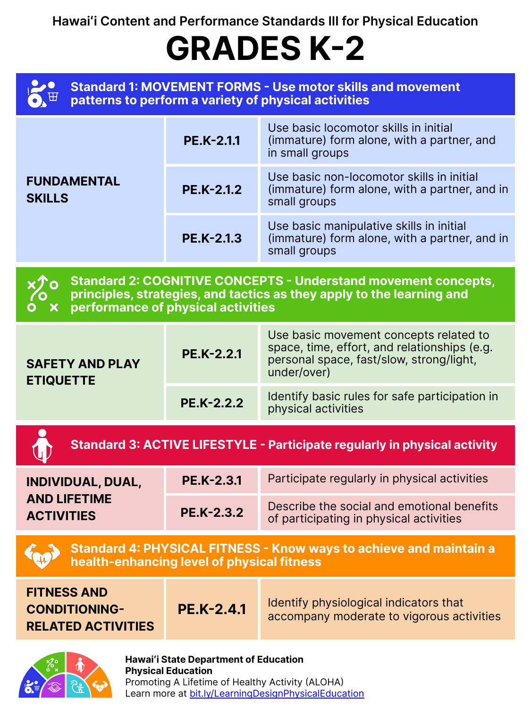| <b>FUNDAMENTAL</b><br><b>SKILLS</b> | <b>PE.K-2.1.1</b> | Use basic locomotor skills in initial<br>(immature) form alone, with a partner, and<br>in small groups     |
|-------------------------------------|-------------------|------------------------------------------------------------------------------------------------------------|
|                                     | <b>PE.K-2.1.2</b> | Use basic non-locomotor skills in initial<br>(immature) form alone, with a partner, and in<br>small groups |
|                                     | <b>PE.K-2.1.3</b> | Use basic manipulative skills in initial<br>(immature) form alone, with a partner, and in<br>small groups  |

**Hawaiʻi Content and Performance Standards III for Physical Education**

# **GRADES K-2**

**Standard 2: COGNITIVE CONCEPTS - Understand movement concepts, principles, strategies, and tactics as they apply to the learning and performance of physical activities**

#### **SAFFTY AND PLAY**

**Hawaiʻi State Department of Education Physical Education**  Promoting A Lifetime of Healthy Activity (ALOHA) Learn more at [bit.ly/LearningDesignPhysicalEducation](https://bit.ly/LearningDesignPhysicalEducation)

**PE.K-2.2.1**

Use basic movement concepts related to space, time, effort, and relationships (e.g. personal space, fast/slow, strong/light,

|                                   |                   | Standard 3: ACTIVE LIFESTYLE - Participate regularly in physical activity |
|-----------------------------------|-------------------|---------------------------------------------------------------------------|
| UALLI AND LAI<br><b>ETIQUETTE</b> | <b>PE.K-2.2.2</b> | Identify basic rules for safe participation in<br>physical activities     |
|                                   |                   | under/over)                                                               |

| <b>INDIVIDUAL, DUAL,</b>                 | PE.K-2.3.1        | Participate regularly in physical activities                                          |
|------------------------------------------|-------------------|---------------------------------------------------------------------------------------|
| <b>AND LIFETIME</b><br><b>ACTIVITIES</b> | <b>PE.K-2.3.2</b> | Describe the social and emotional benefits<br>of participating in physical activities |



| <b>FITNESS AND</b><br><b>PE.K-2.4.1</b><br><b>CONDITIONING-</b><br><b>RELATED ACTIVITIES</b> | Identify physiological indicators that<br>accompany moderate to vigorous activities |
|----------------------------------------------------------------------------------------------|-------------------------------------------------------------------------------------|
|----------------------------------------------------------------------------------------------|-------------------------------------------------------------------------------------|

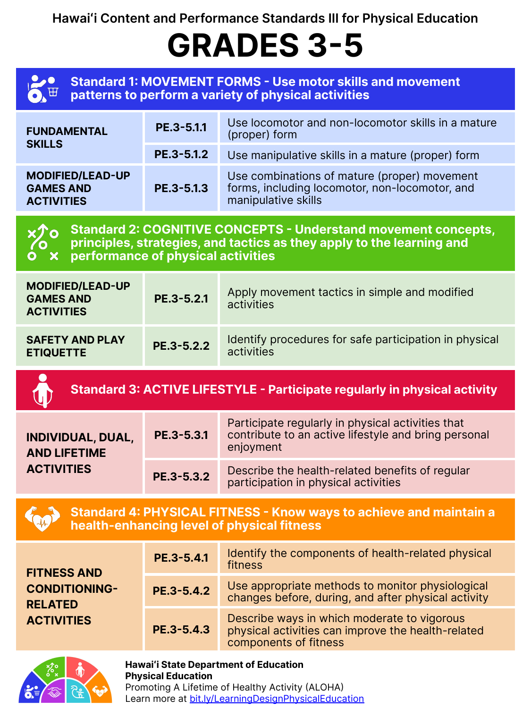| <b>FUNDAMENTAL</b><br><b>SKILLS</b>                              | PE.3-5.1.1 | Use locomotor and non-locomotor skills in a mature<br>(proper) form                                                   |
|------------------------------------------------------------------|------------|-----------------------------------------------------------------------------------------------------------------------|
|                                                                  | PE.3-5.1.2 | Use manipulative skills in a mature (proper) form                                                                     |
| <b>MODIFIED/LEAD-UP</b><br><b>GAMES AND</b><br><b>ACTIVITIES</b> | PE.3-5.1.3 | Use combinations of mature (proper) movement<br>forms, including locomotor, non-locomotor, and<br>manipulative skills |



**Hawaiʻi Content and Performance Standards III for Physical Education**

## **GRADES 3-5**

**Standard 2: COGNITIVE CONCEPTS - Understand movement concepts, principles, strategies, and tactics as they apply to the learning and performance of physical activities**

| <b>MODIFIED/LEAD-UP</b><br><b>GAMES AND</b><br><b>ACTIVITIES</b> | PE.3-5.2.1 | Apply movement tactics in simple and modified<br>activities          |
|------------------------------------------------------------------|------------|----------------------------------------------------------------------|
| <b>SAFETY AND PLAY</b><br><b>ETIQUETTE</b>                       | PE.3-5.2.2 | Identify procedures for safe participation in physical<br>activities |



Promoting A Lifetime of Healthy Activity (ALOHA) Learn more at [bit.ly/LearningDesignPhysicalEducation](https://bit.ly/LearningDesignPhysicalEducation)

### **Standard 3: ACTIVE LIFESTYLE - Participate regularly in physical activity**

| <b>INDIVIDUAL, DUAL,</b><br><b>AND LIFETIME</b> | PE.3-5.3.1 | Participate regularly in physical activities that<br>contribute to an active lifestyle and bring personal<br>enjoyment |
|-------------------------------------------------|------------|------------------------------------------------------------------------------------------------------------------------|
| <b>ACTIVITIES</b>                               | PE.3-5.3.2 | Describe the health-related benefits of regular<br>participation in physical activities                                |



**Standard 4: PHYSICAL FITNESS - Know ways to achieve and maintain a health-enhancing level of physical fitness**

| <b>FITNESS AND</b><br><b>CONDITIONING-</b><br><b>RELATED</b><br><b>ACTIVITIES</b> | PE.3-5.4.1 | Identify the components of health-related physical<br>fitness                                                              |
|-----------------------------------------------------------------------------------|------------|----------------------------------------------------------------------------------------------------------------------------|
|                                                                                   | PE.3-5.4.2 | Use appropriate methods to monitor physiological<br>changes before, during, and after physical activity                    |
|                                                                                   | PE.3-5.4.3 | Describe ways in which moderate to vigorous<br>physical activities can improve the health-related<br>components of fitness |



### **Hawaiʻi State Department of Education Physical Education**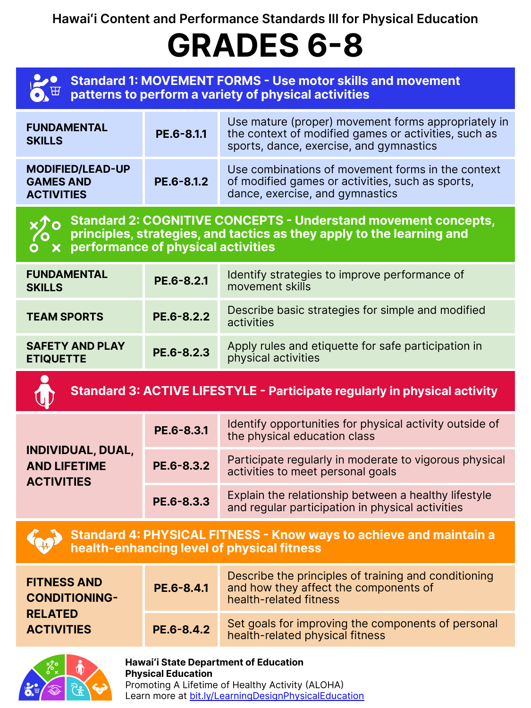| <b>FUNDAMENTAL</b><br><b>SKILLS</b>                              | PE.6-8.1.1 | Use mature (proper) movement forms appropriately in<br>the context of modified games or activities, such as<br>sports, dance, exercise, and gymnastics |
|------------------------------------------------------------------|------------|--------------------------------------------------------------------------------------------------------------------------------------------------------|
| <b>MODIFIED/LEAD-UP</b><br><b>GAMES AND</b><br><b>ACTIVITIES</b> | PE.6-8.1.2 | Use combinations of movement forms in the context<br>of modified games or activities, such as sports,<br>dance, exercise, and gymnastics               |



### **Hawaiʻi Content and Performance Standards III for Physical Education**

# **GRADES 6-8**

**Standard 2: COGNITIVE CONCEPTS - Understand movement concepts, principles, strategies, and tactics as they apply to the learning and performance of physical activities**

| <b>FUNDAMENTAL</b><br><b>SKILLS</b>        | PE.6-8.2.1 | Identify strategies to improve performance of<br>movement skills           |
|--------------------------------------------|------------|----------------------------------------------------------------------------|
| <b>TEAM SPORTS</b>                         | PE.6-8.2.2 | Describe basic strategies for simple and modified<br>activities            |
| <b>SAFETY AND PLAY</b><br><b>ETIQUETTE</b> | PE.6-8.2.3 | Apply rules and etiquette for safe participation in<br>physical activities |



Promoting A Lifetime of Healthy Activity (ALOHA) Learn more at [bit.ly/LearningDesignPhysicalEducation](https://bit.ly/LearningDesignPhysicalEducation)

### **Standard 3: ACTIVE LIFESTYLE - Participate regularly in physical activity**

| <b>INDIVIDUAL, DUAL,</b><br><b>AND LIFETIME</b><br><b>ACTIVITIES</b> | PE.6-8.3.1 | Identify opportunities for physical activity outside of<br>the physical education class                  |
|----------------------------------------------------------------------|------------|----------------------------------------------------------------------------------------------------------|
|                                                                      | PE.6-8.3.2 | Participate regularly in moderate to vigorous physical<br>activities to meet personal goals              |
|                                                                      | PE.6-8.3.3 | Explain the relationship between a healthy lifestyle<br>and regular participation in physical activities |

**Standard 4: PHYSICAL FITNESS - Know ways to achieve and maintain a health-enhancing level of physical fitness**

| <b>FITNESS AND</b><br><b>CONDITIONING-</b> | PE.6-8.4.1 | Describe the principles of training and conditioning<br>and how they affect the components of<br>health-related fitness |
|--------------------------------------------|------------|-------------------------------------------------------------------------------------------------------------------------|
| <b>RELATED</b><br><b>ACTIVITIES</b>        | PE.6-8.4.2 | Set goals for improving the components of personal<br>health-related physical fitness                                   |



#### **Hawaiʻi State Department of Education**

#### **Physical Education**